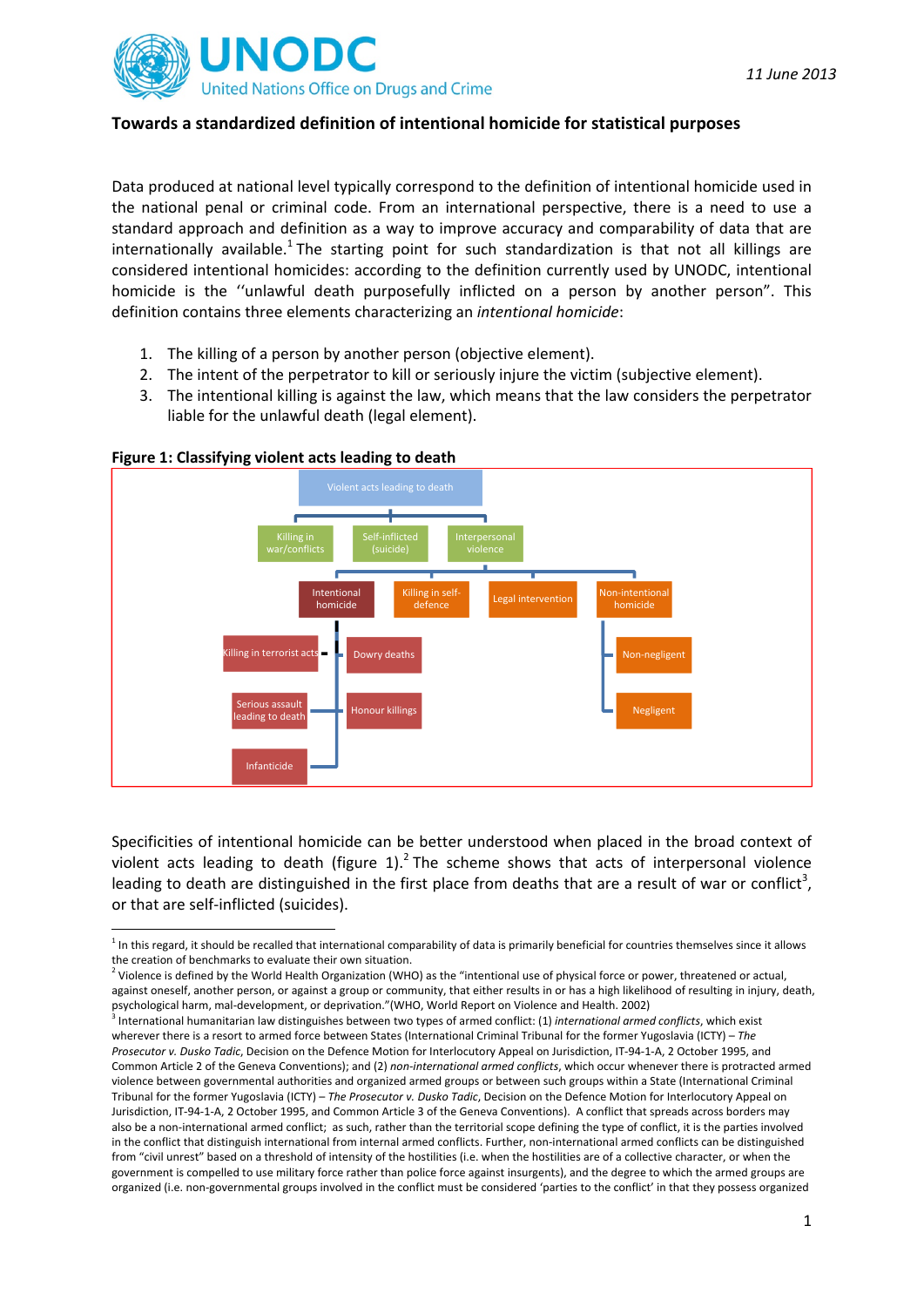

## **Towards a standardized definition of intentional homicide for statistical purposes**

Data produced at national level typically correspond to the definition of intentional homicide used in the national penal or criminal code. From an international perspective, there is a need to use a standard approach and definition as a way to improve accuracy and comparability of data that are internationally available.<sup>1</sup> The starting point for such standardization is that not all killings are considered intentional homicides: according to the definition currently used by UNODC, intentional homicide is the ''unlawful death purposefully inflicted on a person by another person". This definition contains three elements characterizing an *intentional homicide*:

- 1. The killing of a person by another person (objective element).
- 2. The intent of the perpetrator to kill or seriously injure the victim (subjective element).
- 3. The intentional killing is against the law, which means that the law considers the perpetrator liable for the unlawful death (legal element).



## **Figure 1: Classifying violent acts leading to death**

Specificities of intentional homicide can be better understood when placed in the broad context of violent acts leading to death (figure 1).<sup>2</sup> The scheme shows that acts of interpersonal violence leading to death are distinguished in the first place from deaths that are a result of war or conflict<sup>3</sup>, or that are self‐inflicted (suicides).

 $1$  In this regard, it should be recalled that international comparability of data is primarily beneficial for countries themselves since it allows the creation of benchmarks to evaluate their own situation.

 $2$  Violence is defined by the World Health Organization (WHO) as the "intentional use of physical force or power, threatened or actual, against oneself, another person, or against a group or community, that either results in or has a high likelihood of resulting in injury, death, psychological harm, mal‐development, or deprivation."(WHO, World Report on Violence and Health. 2002)

<sup>3</sup> International humanitarian law distinguishes between two types of armed conflict: (1) *international armed conflicts*, which exist wherever there is a resort to armed force between States (International Criminal Tribunal for the former Yugoslavia (ICTY) – *The Prosecutor v. Dusko Tadic*, Decision on the Defence Motion for Interlocutory Appeal on Jurisdiction, IT‐94‐1‐A, 2 October 1995, and Common Article 2 of the Geneva Conventions); and (2) *non‐international armed conflicts*, which occur whenever there is protracted armed violence between governmental authorities and organized armed groups or between such groups within a State (International Criminal Tribunal for the former Yugoslavia (ICTY) – *The Prosecutor v. Dusko Tadic*, Decision on the Defence Motion for Interlocutory Appeal on Jurisdiction, IT‐94‐1‐A, 2 October 1995, and Common Article 3 of the Geneva Conventions). A conflict that spreads across borders may also be a non-international armed conflict; as such, rather than the territorial scope defining the type of conflict, it is the parties involved in the conflict that distinguish international from internal armed conflicts. Further, non‐international armed conflicts can be distinguished from "civil unrest" based on a threshold of intensity of the hostilities (i.e. when the hostilities are of a collective character, or when the government is compelled to use military force rather than police force against insurgents), and the degree to which the armed groups are organized (i.e. non‐governmental groups involved in the conflict must be considered 'parties to the conflict' in that they possess organized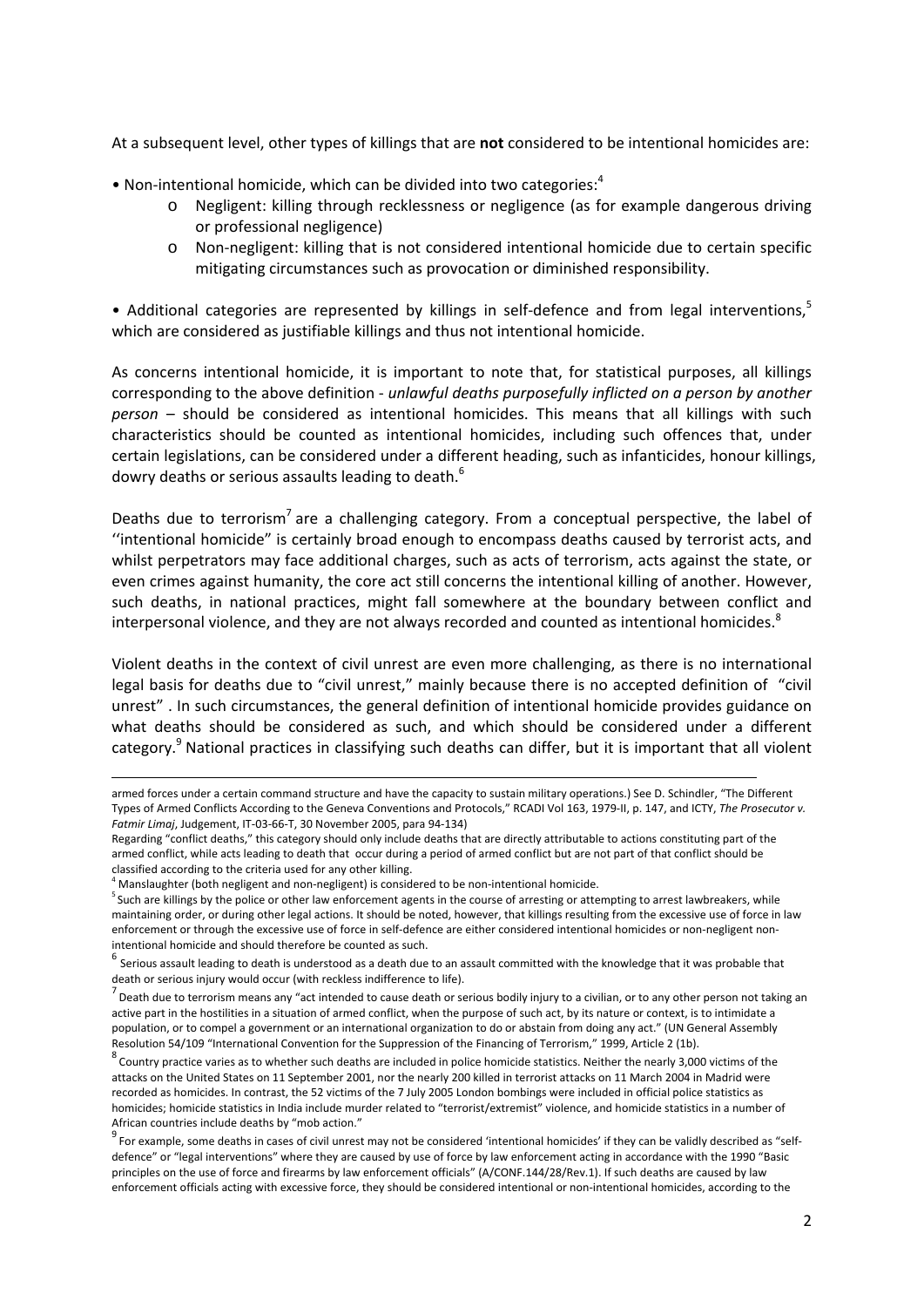At a subsequent level, other types of killings that are **not** considered to be intentional homicides are:

- Non-intentional homicide, which can be divided into two categories: $4$ 
	- o Negligent: killing through recklessness or negligence (as for example dangerous driving or professional negligence)
	- o Non‐negligent: killing that is not considered intentional homicide due to certain specific mitigating circumstances such as provocation or diminished responsibility.

• Additional categories are represented by killings in self-defence and from legal interventions,<sup>5</sup> which are considered as justifiable killings and thus not intentional homicide.

As concerns intentional homicide, it is important to note that, for statistical purposes, all killings corresponding to the above definition ‐ *unlawful deaths purposefully inflicted on a person by another person* – should be considered as intentional homicides. This means that all killings with such characteristics should be counted as intentional homicides, including such offences that, under certain legislations, can be considered under a different heading, such as infanticides, honour killings, dowry deaths or serious assaults leading to death.<sup>6</sup>

Deaths due to terrorism<sup>7</sup> are a challenging category. From a conceptual perspective, the label of ''intentional homicide" is certainly broad enough to encompass deaths caused by terrorist acts, and whilst perpetrators may face additional charges, such as acts of terrorism, acts against the state, or even crimes against humanity, the core act still concerns the intentional killing of another. However, such deaths, in national practices, might fall somewhere at the boundary between conflict and interpersonal violence, and they are not always recorded and counted as intentional homicides.<sup>8</sup>

Violent deaths in the context of civil unrest are even more challenging, as there is no international legal basis for deaths due to "civil unrest," mainly because there is no accepted definition of "civil unrest" . In such circumstances, the general definition of intentional homicide provides guidance on what deaths should be considered as such, and which should be considered under a different category.<sup>9</sup> National practices in classifying such deaths can differ, but it is important that all violent

<u> 1989 - Johann Barn, mars eta bainar eta bat erroman erroman erroman erroman erroman erroman erroman ez erroma</u>

armed forces under a certain command structure and have the capacity to sustain military operations.) See D. Schindler, "The Different Types of Armed Conflicts According to the Geneva Conventions and Protocols," RCADI Vol 163, 1979‐II, p. 147, and ICTY, *The Prosecutor v. Fatmir Limaj*, Judgement, IT‐03‐66‐T, 30 November 2005, para 94‐134)

Regarding "conflict deaths," this category should only include deaths that are directly attributable to actions constituting part of the armed conflict, while acts leading to death that occur during a period of armed conflict but are not part of that conflict should be classified according to the criteria used for any other killing.

 $4$  Manslaughter (both negligent and non-negligent) is considered to be non-intentional homicide.

<sup>&</sup>lt;sup>5</sup> Such are killings by the police or other law enforcement agents in the course of arresting or attempting to arrest lawbreakers, while maintaining order, or during other legal actions. It should be noted, however, that killings resulting from the excessive use of force in law enforcement or through the excessive use of force in self-defence are either considered intentional homicides or non-negligent non-

intentional homicide and should therefore be counted as such.<br><sup>6</sup> Serious assault leading to death is understood as a death due to an assault committed with the knowledge that it was probable that death or serious injury would occur (with reckless indifference to life).

 $^7$  Death due to terrorism means any "act intended to cause death or serious bodily injury to a civilian, or to any other person not taking an active part in the hostilities in a situation of armed conflict, when the purpose of such act, by its nature or context, is to intimidate a population, or to compel a government or an international organization to do or abstain from doing any act." (UN General Assembly Resolution 54/109 "International Convention for the Suppression of the Financing of Terrorism," 1999, Article 2 (1b).

 $^8$  Country practice varies as to whether such deaths are included in police homicide statistics. Neither the nearly 3,000 victims of the attacks on the United States on 11 September 2001, nor the nearly 200 killed in terrorist attacks on 11 March 2004 in Madrid were recorded as homicides. In contrast, the 52 victims of the 7 July 2005 London bombings were included in official police statistics as homicides; homicide statistics in India include murder related to "terrorist/extremist" violence, and homicide statistics in a number of

African countries include deaths by "mob action."<br><sup>9</sup> For example, some deaths in cases of civil unrest may not be considered 'intentional homicides' if they can be validly described as "selfdefence" or "legal interventions" where they are caused by use of force by law enforcement acting in accordance with the 1990 "Basic principles on the use of force and firearms by law enforcement officials" (A/CONF.144/28/Rev.1). If such deaths are caused by law enforcement officials acting with excessive force, they should be considered intentional or non-intentional homicides, according to the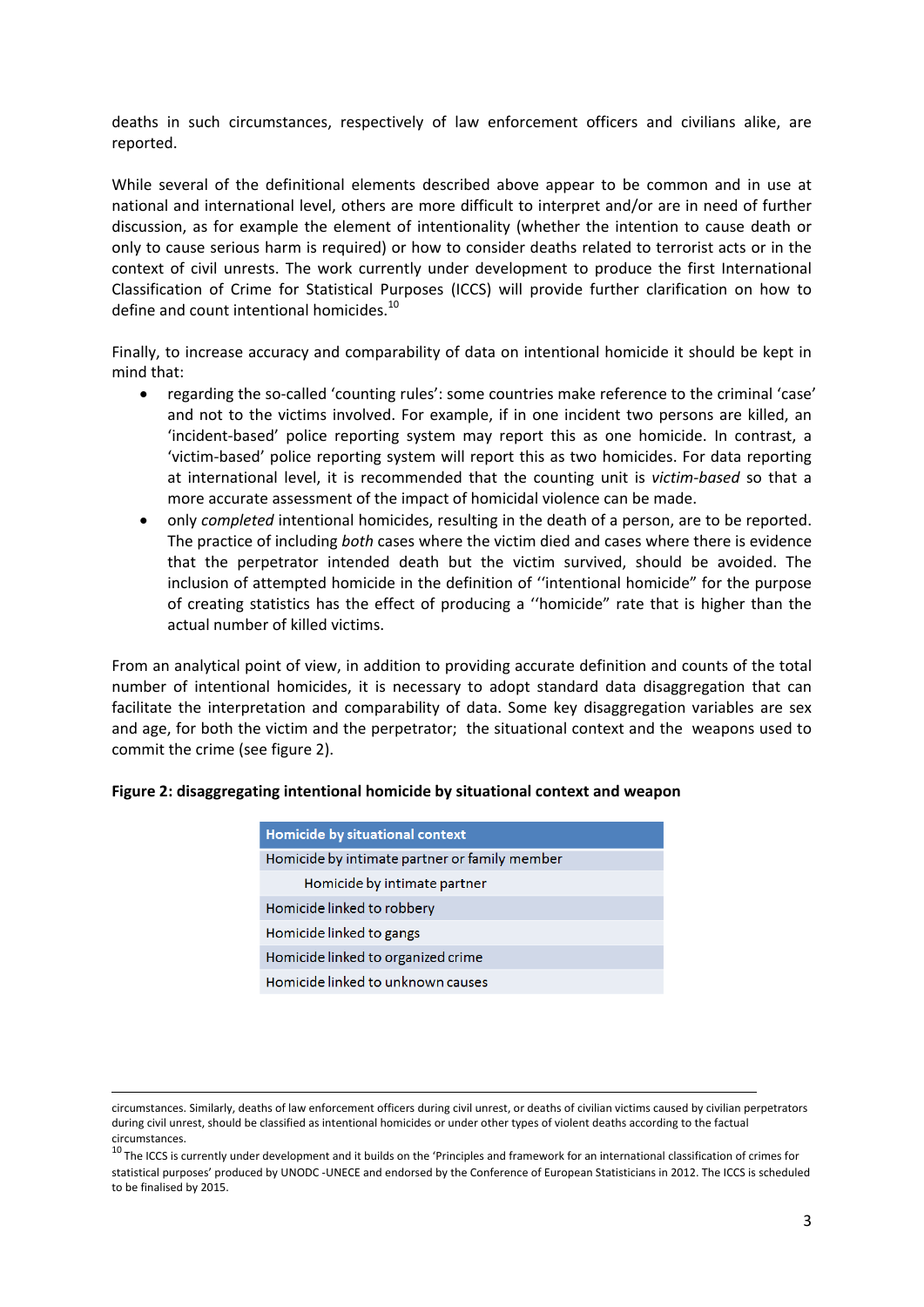deaths in such circumstances, respectively of law enforcement officers and civilians alike, are reported.

While several of the definitional elements described above appear to be common and in use at national and international level, others are more difficult to interpret and/or are in need of further discussion, as for example the element of intentionality (whether the intention to cause death or only to cause serious harm is required) or how to consider deaths related to terrorist acts or in the context of civil unrests. The work currently under development to produce the first International Classification of Crime for Statistical Purposes (ICCS) will provide further clarification on how to define and count intentional homicides.<sup>10</sup>

Finally, to increase accuracy and comparability of data on intentional homicide it should be kept in mind that:

- regarding the so‐called 'counting rules': some countries make reference to the criminal 'case' and not to the victims involved. For example, if in one incident two persons are killed, an 'incident‐based' police reporting system may report this as one homicide. In contrast, a 'victim‐based' police reporting system will report this as two homicides. For data reporting at international level, it is recommended that the counting unit is *victim‐based* so that a more accurate assessment of the impact of homicidal violence can be made.
- only *completed* intentional homicides, resulting in the death of a person, are to be reported. The practice of including *both* cases where the victim died and cases where there is evidence that the perpetrator intended death but the victim survived, should be avoided. The inclusion of attempted homicide in the definition of ''intentional homicide" for the purpose of creating statistics has the effect of producing a ''homicide" rate that is higher than the actual number of killed victims.

From an analytical point of view, in addition to providing accurate definition and counts of the total number of intentional homicides, it is necessary to adopt standard data disaggregation that can facilitate the interpretation and comparability of data. Some key disaggregation variables are sex and age, for both the victim and the perpetrator; the situational context and the weapons used to commit the crime (see figure 2).

|  | Figure 2: disaggregating intentional homicide by situational context and weapon |  |  |  |  |  |
|--|---------------------------------------------------------------------------------|--|--|--|--|--|
|--|---------------------------------------------------------------------------------|--|--|--|--|--|

| Homicide by situational context               |  |  |
|-----------------------------------------------|--|--|
| Homicide by intimate partner or family member |  |  |
| Homicide by intimate partner                  |  |  |
| Homicide linked to robbery                    |  |  |
| Homicide linked to gangs                      |  |  |
| Homicide linked to organized crime            |  |  |
| Homicide linked to unknown causes             |  |  |

<u> Alexandria de la contrada de la contrada de la contrada de la contrada de la contrada de la contrada de la c</u>

circumstances. Similarly, deaths of law enforcement officers during civil unrest, or deaths of civilian victims caused by civilian perpetrators during civil unrest, should be classified as intentional homicides or under other types of violent deaths according to the factual circumstances.

 $10$  The ICCS is currently under development and it builds on the 'Principles and framework for an international classification of crimes for statistical purposes' produced by UNODC ‐UNECE and endorsed by the Conference of European Statisticians in 2012. The ICCS is scheduled to be finalised by 2015.